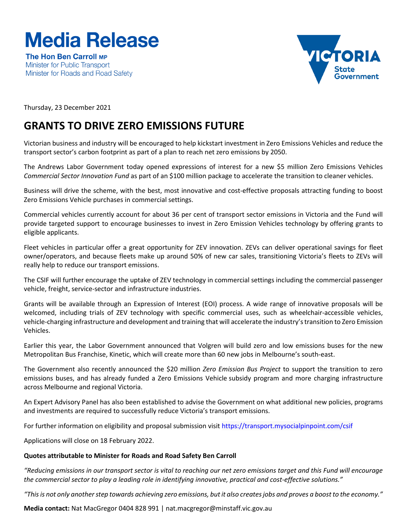## **Media Release**

The Hon Ben Carroll MP Minister for Public Transport Minister for Roads and Road Safety



Thursday, 23 December 2021

## **GRANTS TO DRIVE ZERO EMISSIONS FUTURE**

Victorian business and industry will be encouraged to help kickstart investment in Zero Emissions Vehicles and reduce the transport sector's carbon footprint as part of a plan to reach net zero emissions by 2050.

The Andrews Labor Government today opened expressions of interest for a new \$5 million Zero Emissions Vehicles *Commercial Sector Innovation Fund* as part of an \$100 million package to accelerate the transition to cleaner vehicles.

Business will drive the scheme, with the best, most innovative and cost-effective proposals attracting funding to boost Zero Emissions Vehicle purchases in commercial settings.

Commercial vehicles currently account for about 36 per cent of transport sector emissions in Victoria and the Fund will provide targeted support to encourage businesses to invest in Zero Emission Vehicles technology by offering grants to eligible applicants.

Fleet vehicles in particular offer a great opportunity for ZEV innovation. ZEVs can deliver operational savings for fleet owner/operators, and because fleets make up around 50% of new car sales, transitioning Victoria's fleets to ZEVs will really help to reduce our transport emissions.

The CSIF will further encourage the uptake of ZEV technology in commercial settings including the commercial passenger vehicle, freight, service-sector and infrastructure industries.

Grants will be available through an Expression of Interest (EOI) process. A wide range of innovative proposals will be welcomed, including trials of ZEV technology with specific commercial uses, such as wheelchair-accessible vehicles, vehicle-charging infrastructure and development and training that will accelerate the industry's transition to Zero Emission Vehicles.

Earlier this year, the Labor Government announced that Volgren will build zero and low emissions buses for the new Metropolitan Bus Franchise, Kinetic, which will create more than 60 new jobs in Melbourne's south-east.

The Government also recently announced the \$20 million *Zero Emission Bus Project* to support the transition to zero emissions buses, and has already funded a Zero Emissions Vehicle subsidy program and more charging infrastructure across Melbourne and regional Victoria.

An Expert Advisory Panel has also been established to advise the Government on what additional new policies, programs and investments are required to successfully reduce Victoria's transport emissions.

For further information on eligibility and proposal submission visi[t https://transport.mysocialpinpoint.com/csif](https://transport.mysocialpinpoint.com/csif)

Applications will close on 18 February 2022.

## **Quotes attributable to Minister for Roads and Road Safety Ben Carroll**

*"Reducing emissions in our transport sector is vital to reaching our net zero emissions target and this Fund will encourage the commercial sector to play a leading role in identifying innovative, practical and cost-effective solutions."*

*"This is not only another step towards achieving zero emissions, but it also creates jobs and proves a boost to the economy."*

**Media contact:** Nat MacGregor 0404 828 991 | nat.macgregor@minstaff.vic.gov.au